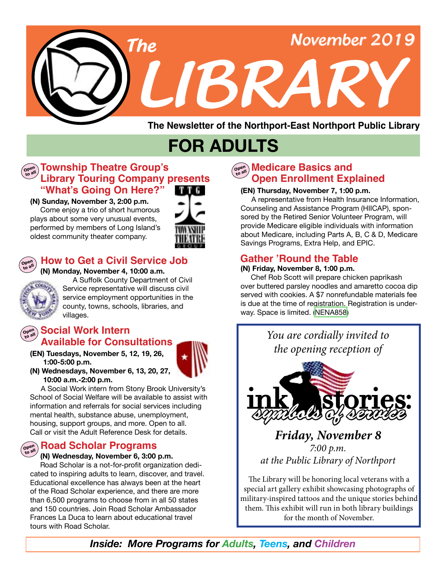

**The Newsletter of the Northport-East Northport Public Library**

# **FOR ADULTS**

## **Library Touring Company presents Open Township Theatre Group's to all "What's Going On Here?"**

#### **(N) Sunday, November 3, 2:00 p.m.**

Come enjoy a trio of short humorous plays about some very unusual events, performed by members of Long Island's oldest community theater company.





#### **(N) Monday, November 4, 10:00 a.m. How to Get a Civil Service Job**

A Suffolk County Department of Civil Service representative will discuss civil service employment opportunities in the county, towns, schools, libraries, and villages.

#### **Social Work Intern Open to all Available for Consultations**

**(EN) Tuesdays, November 5, 12, 19, 26, 1:00-5:00 p.m.** 



**(N) Wednesdays, November 6, 13, 20, 27, 10:00 a.m.-2:00 p.m.**

 A Social Work intern from Stony Brook University's School of Social Welfare will be available to assist with information and referrals for social services including mental health, substance abuse, unemployment, housing, support groups, and more. Open to all. Call or visit the Adult Reference Desk for details.

#### **Road Scholar Programs Open to all**

#### **(N) Wednesday, November 6, 3:00 p.m.**

 Road Scholar is a not-for-profit organization dedicated to inspiring adults to learn, discover, and travel. Educational excellence has always been at the heart of the Road Scholar experience, and there are more than 6,500 programs to choose from in all 50 states and 150 countries. Join Road Scholar Ambassador Frances La Duca to learn about educational travel tours with Road Scholar.

#### ด<sup>อดก</sup>ู Medicare Basics and<br>———————————————————— **Open Enrollment Explained**

#### **(EN) Thursday, November 7, 1:00 p.m.**

A representative from Health Insurance Information, Counseling and Assistance Program (HIICAP), sponsored by the Retired Senior Volunteer Program, will provide Medicare eligible individuals with information about Medicare, including Parts A, B, C & D, Medicare Savings Programs, Extra Help, and EPIC.

## **Gather 'Round the Table**

#### **(N) Friday, November 8, 1:00 p.m.**

 Chef Rob Scott will prepare chicken paprikash over buttered parsley noodles and amaretto cocoa dip served with cookies. A \$7 nonrefundable materials fee is due at the time of registration. Registration is underway. Space is limited. [\(NENA858](https://search.livebrary.com/record=g1094719~S43))



The Library will be honoring local veterans with a special art gallery exhibit showcasing photographs of military-inspired tattoos and the unique stories behind them. This exhibit will run in both library buildings for the month of November.

*Inside: More Programs for Adults, Teens, and Children*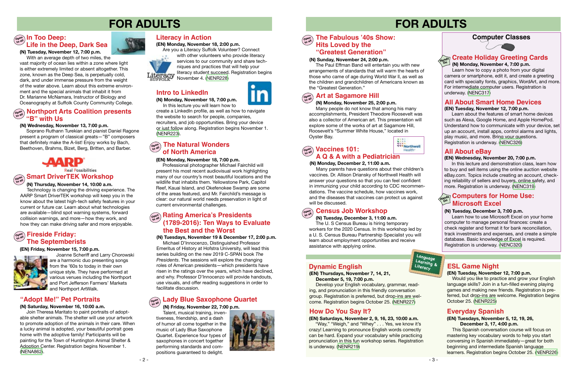# **FOR ADULTS**

#### **Computer Classes**

# **FOR ADULTS**

#### **All About Smart Home Devices (EN) Tuesday, November 12, 7:00 p.m.**

 Learn about the features of smart home devices such as Alexa, Google Home, and Apple HomePod. Understand how to communicate with your device, set up an account, install apps, control alarms and lights, play music, and more. Bring your questions. Registration is underway. ([NENC326](https://search.livebrary.com/record=g1094757~S43))

#### **(N) Wednesday, November 13, 7:00 p.m.**

 Soprano Ruthann Turekian and pianist Daniel Ragone present a program of classical greats—"B" composers that definitely make the A-list! Enjoy works by Bach, Beethoven, Brahms, Bizet, Berg, Britten, and Barber.



**Real Possibilities** 

# **Open Smart DriverTEK Workshop**

In this lecture and demonstration class, learn how to buy and sell items using the online auction website eBay.com. Topics include creating an account, checking reliability of sellers and buyers, online safety, and more. Registration is underway. ([NENC319](https://search.livebrary.com/record=g1094758~S43))

#### **Hands On Computers for Home Use: Microsoft Excel**

#### **(N) Tuesday, December 3, 7:00 p.m.**

Learn how to use Microsoft Excel on your home computer to manage personal finances: create a check register and format it for bank reconciliation, track investments and expenses, and create a simple database. Basic knowledge of Excel is required. Registration is underway. ([NENC320](https://search.livebrary.com/record=g1094759~S43))

#### $\left(\begin{array}{cc} \mathbf{O}_{\mathbf{P}}\text{erf}_\mathbf{M} \\ \mathbf{O}_{\mathbf{P}}\text{erf}_\mathbf{M} \end{array}\right)$  **In Too Deep: Life in the Deep, Dark Sea**

#### **All About eBay**

#### **(EN) Wednesday, November 20, 7:00 p.m.**

#### $\left(\begin{array}{c}\n\text{open} \\
\text{total}\n\end{array}\right)$  **Fireside Friday: The Septemberists**

Joanne Scheriff and Larry Chorowski are a harmonic duo presenting songs from the '60s to today in their own unique style. They have performed at various venues including the Northport and Port Jefferson Farmers' Markets and Northport ArtWalk.

#### **(N) Tuesday, November 12, 7:00 p.m.**

 With an average depth of two miles, the vast majority of ocean lies within a zone where light is either extremely limited or absent altogether. This zone, known as the Deep Sea, is perpetually cold, dark, and under immense pressure from the weight of the water above. Learn about this extreme environment and the special animals that inhabit it from Dr. Marianne McNamara, Instructor of Biology and Oceanography at Suffolk County Community College.

#### $\overline{\mathbf{S}_{\mathbf{e}^{\text{max}}_{\mathbf{a}^{\text{max}}}}}$  The Natural Wonders **of North America**

#### **(N) Thursday, November 14, 10:00 a.m.**

#### **Copen Bating America's Presidents (1789-2016): Ten Ways to Evaluate the Best and the Worst**

Technology is changing the driving experience. The AARP Smart DriverTEK workshop will keep you in the know about the latest high-tech safety features in your current or future car. Learn about what technologies are available—blind spot warning systems, forward collision warnings, and more—how they work, and how they can make driving safer and more enjoyable.

#### **Open to all Northport Arts Coalition presents "B" with Us**

#### **Open Lady Blue Saxophone Quartet**

 **(EN) Friday, November 15, 7:00 p.m.** 



#### **The Fabulous '40s Show: Hits Loved by the "Greatest Generation"**

#### **Intro to LinkedIn**

**(N) Monday, November 18, 7:00 p.m.** 

 In this lecture you will learn how to create a LinkedIn profile, as well as how to navigate the website to search for people, companies, recruiters, and job opportunities. Bring your device or just follow along. Registration begins November 1. ([NENR223\)](https://search.livebrary.com/record=g1095171~S43).

#### $\left(\begin{smallmatrix} \mathsf{open} \ \mathsf{real} \end{smallmatrix}\right)$  **Vaccines 101: A Q & A with a Pediatrician**

#### **(EN) Monday, November 18, 7:00 p.m.**

Professional photographer Michael Fairchild will present his most recent audiovisual work highlighting many of our country's most beautiful locations and the wildlife that inhabits them. Yellowstone Park, Capitol Reef, Kauai Island, and Okefenokee Swamp are some of the areas featured, and Mr. Fairchild's message is clear: our natural world needs preservation in light of current environmental challenges.

#### **(N) Tuesdays, November 19 & December 17, 2:00 p.m.**

Michael D'Innocenzo, Distinguished Professor Emeritus of History at Hofstra University, will lead this series building on the new 2019 C-SPAN book *The Presidents*. The sessions will explore the changing roles of American presidents—which presidents have risen in the ratings over the years, which have declined, and why. Professor D'Innocenzo will provide handouts, use visuals, and offer reading suggestions in order to facilitate discussion.

with other volunteers who provide literacy services to our community and share techniques and practices that will help your literacy student succeed. Registration begins Litteracy Illeracy Student Succession

#### **"Adopt Me!" Pet Portraits**

#### **(N) Saturday, November 16, 10:00 a.m.**

 Join Theresa Maritato to paint portraits of adoptable shelter animals. The shelter will use your artwork to promote adoption of the animals in their care. When a lucky animal is adopted, your beautiful portrait goes home with the adoptive family! Participants will be painting for the Town of Huntington Animal Shelter & Adoption Center. Registration begins November 1. ([NENA862\)](https://search.livebrary.com/record=g1095085~S43).



#### **(N) Friday, November 22, 7:00 p.m.**

Talent, musical training, inventiveness, friendship, and a dash of humor all come together in the music of Lady Blue Saxophone Quartet. Experience four types of saxophones in concert together performing standards and compositions guaranteed to delight.



#### **(N) Sunday, November 24, 2:00 p.m.**

Open<br>to all

The Paul Effman Band will entertain you with new arrangements of standards that will warm the hearts of those who came of age during World War ll, as well as the children and grandchildren of Americans known as the "Greatest Generation."

#### Open<br>to all **Art at Sagamore Hill**

#### **(N) Monday, November 25, 2:00 p.m.**

Many people do not know that among his many accomplishments, President Theodore Roosevelt was also a collector of American art. This presentation will explore some of the works of art at Sagamore Hill, Roosevelt's "Summer White House," located in Oyster Bay.

#### **(N) Monday, December 2, 11:00 a.m.**

Many parents have questions about their children's vaccines. Dr. Allison Driansky of Northwell Health will answer your questions so that you can feel confident in immunizing your child according to CDC recommendations. The vaccine schedule, how vaccines work, and the diseases that vaccines can protect us against will be discussed.

#### $\begin{pmatrix} \text{open} \\ \text{to all} \end{pmatrix}$ **Census Job Workshop**

 **(N) Tuesday, December 3, 11:00 a.m.** The U. S Census Bureau is hiring temporary workers for the 2020 Census. In this workshop led by a U. S. Census Bureau Partnership Specialist you will learn about employment opportunities and receive assistance with applying online.

#### **(N) Monday, November 4, 7:00 p.m.**

 Learn how to copy a photo from your digital camera or smartphone, edit it, and create a greeting card with specialty fonts, graphics, WordArt, and more. For intermediate computer users. Registration is underway. [\(NENC317\)](https://search.livebrary.com/record=g1085807~S43)



**On**

**(EN) Thursdays, November 7, 14, 21, December 5, 19, 7:00 p.m.** 

Develop your English vocabulary, grammar, reading, and pronunciation in this friendly conversation group. Registration is preferred, but drop-ins are welcome. Registration begins October 25. [\(NENR227](https://search.livebrary.com/record=g1095358~S43))

#### **Dynamic English**

#### **How Do You Say It?**

**(EN) Saturdays, November 2, 9, 16, 23, 10:00 a.m.**

"Way," "Weigh," and "Whey" . . . Yes, we know it's crazy! Learning to pronounce English words correctly can be hard. Expand your vocabulary while practicing pronunciation in this fun workshop series. Registration is underway. [\(NENR219\)](https://search.livebrary.com/record=g1094245~S43)





**Language Learning & Literacy**

#### **ESL Game Night**

#### **(EN) Tuesday, November 12, 7:00 p.m.**

Would you like to practice and grow your English language skills? Join in a fun-filled evening playing games and making new friends. Registration is preferred, but drop-ins are welcome. Registration begins October 25. [\(NENR225](https://search.livebrary.com/record=g1095363~S43))

#### **Everyday Spanish**

#### **(EN) Tuesdays, November 5, 12, 19, 26, December 3, 17, 4:00 p.m.**

 This Spanish conversation course will focus on mastering key vocabulary words to help you start conversing in Spanish immediately—great for both beginning and intermediate Spanish language learners. Registration begins October 25. [\(NENR226\)](https://search.livebrary.com/record=g1095329~S43)

#### **Literacy in Action**

#### **(EN) Monday, November 18, 2:00 p.m.**

Are you a Literacy Suffolk Volunteer? Connect

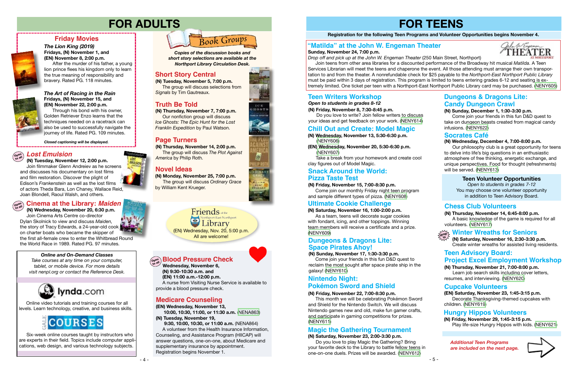- 5 -

# **FOR TEENS**

#### **Registration for the following Teen Programs and Volunteer Opportunities begins November 4.**

**(N) Wednesday, November 13, 5:30-6:30 p.m.** 

([NENY606](http://alpha2.suffolk.lib.ny.us/search/?searchtype=X&SORT=D&searcharg=nena491&searchscope=43))

**(EN) Wednesday, November 20, 5:30-6:30 p.m.**

([NENY607](https://search.livebrary.com/record=g1095028~S43))

Take a break from your homework and create cool

clay figures out of Model Magic.

**Chill Out and Create: Model Magic**

#### **(N) Sunday, November 17, 1:30-3:30 p.m.**

 Come join your friends in this fun D&D quest to reclaim the most sought after space pirate ship in the galaxy! [\(NENY610](https://search.livebrary.com/record=g1095060~S43))

#### **Teen Volunteer Opportunities**

*Open to students in grades 7-12* You may choose one volunteer opportunity in addition to Teen Advisory Board.







#### *The Art of Racing in the Rain* **Fridays, (N) November 15, and (EN) November 22, 2:00 p.m.**

#### Open<br>to all **to all Cinema at the Library:** *Maiden*

**(N) Thursday, November 7, 7:00 p.m.** Our nonfiction group will discuss *Ice Ghosts: The Epic Hunt for the Lost Franklin Expedition by Paul Watson.* 

Through his bond with his owner, Golden Retriever Enzo learns that the techniques needed on a racetrack can also be used to successfully navigate the journey of life. Rated PG. 109 minutes.

#### **Friday Movies**



#### *The Lion King (2019)* **Fridays, (N) November 1, and (EN) November 8, 2:00 p.m.**

After the murder of his father, a young lion prince flees his kingdom only to learn the true meaning of responsibility and bravery. Rated PG. 118 minutes.



*Closed captioning will be displayed.*

# **FOR ADULTS**

 **(N) Wednesday, November 20, 6:30 p.m.** Join Cinema Arts Centre co-director Dylan Skolnick to view and discuss *Maiden,*  the story of Tracy Edwards, a 24-year-old cook on charter boats who became the skipper of the first all-female crew to enter the Whitbread Round the World Race in 1989. Rated PG. 97 minutes.



**(N) Monday, November 25, 7:00 p.m.** The group will discuss *Ordinary Grace* by William Kent Krueger.

**Truth Be Told** *Northport Library Circulation Desk. Copies of the discussion books and short story selections are available at the*

**(N) Thursday, November 14, 2:00 p.m.** The group will discuss *The Plot Against America* by Philip Roth.

#### **Nintendo Night: Pokémon Sword and Shield**

### **Truth Be Told**

#### **Novel Ideas**

 Our philosophy club is a great opportunity for teens to delve into life's big questions in an enthusiastic atmosphere of free thinking, energetic exchange, and unique perspectives. Food for thought (refreshments) will be served. [\(NENY613\)](https://search.livebrary.com/record=g1095064~S43)

Friends of the ort-East Northport library (EN) Wednesday, Nov. 20, 5:00 p.m. All are welcome!

#### **Socrates Café**

#### **Page Turners Collection (N)** Wednesday, December 4, 7:00-8:00 p.m.

**(N) Friday, November 15, 7:00-8:30 p.m.**

**Snack Around the World:**

#### and sample different types of pizza. ([NENY608](https://search.livebrary.com/record=g1095029~S43)) **(N) Saturday, November 16, 1:00-2:00 p.m. Ultimate Cookie Challenge**

 As a team, teens will decorate sugar cookies with fondant, icing, and other toppings. Winning team members will receive a certificate and a prize. ([NENY609](https://search.livebrary.com/record=g1095030~S43))

> **(N) Saturday, November 16, 2:30-3:30 p.m.** Create winter wreaths for assisted living residents.

**(N) Thursday, November 14, 6:45-8:00 p.m.** A basic knowledge of the game is required for all volunteers. ([NENY617\)](https://search.livebrary.com/record=g1095129~S43)



#### **Chess Club Volunteers**

#### **(N) Thursday, November 21, 7:00-8:00 p.m.**

#### **Dungeons & Dragons Lite: Space Pirates Ahoy!**

 Learn job search skills including cover letters, resumes, and interviewing. ([NENY620](https://search.livebrary.com/record=g1095152~S43))

#### **(EN) Wednesday, November 13,**

 **10:00, 10:30, 11:00, or 11:30 a.m.** ([NENA863\)](https://search.livebrary.com/record=g1095120~S43) **(N) Tuesday, November 19,**

 **9:30, 10:00, 10:30, or 11:00 a.m.** [\(NENA864\)](https://search.livebrary.com/record=g1095121~S43) A volunteer from the Health Insurance Information, Counseling, and Assistance Program (HIICAP) will answer questions, one-on-one, about Medicare and supplementary insurance by appointment. Registration begins November 1.













### **Medicare Counseling**

#### **(N) Friday, November 22, 7:00-8:30 p.m.**

 This month we will be celebrating Pokémon Sword and Shield for the Nintendo Switch. We will discuss Nintendo games new and old, make fun gamer crafts, and participate in gaming competitions for prizes. [\(NENY611](https://search.livebrary.com/record=g1095062~S43))

 **Wednesday, November 6, (N) 9:30-10:30 a.m. and**

 **(EN) 11:00 a.m.-12:00 p.m.** 

#### **Blood Pressure Check Open to all**

A nurse from Visiting Nurse Service is available to

#### **(N) Tuesday, November 12, 2:00 p.m.**

 Join filmmaker Glenn Andreiev as he screens and discusses his documentary on lost films and film restoration. Discover the plight of Edison's *Frankenstein* as well as the lost films of actors Theda Bara, Lon Chaney, Wallace Reid, Joan Blondell, Raoul Walsh, and others.

# **Open to all** *Lost Emulsion*

### **Short Story Central**

**(N) Tuesday, November 5, 7:00 p.m.** The group will discuss selections from *Signals* by Tim Gautreaux.

#### **Teen Advisory Board: Project Excel Employment Workshop**

 Online video tutorials and training courses for all levels. Learn technology, creative, and business skills.



#### *Online and On-Demand Classes*

## **Winter Wreaths for Seniors drop in**

*Take courses at any time on your computer, tablet, or mobile device. For more details visit nenpl.org or contact the Reference Desk.*



 Six-week online courses taught by instructors who are experts in their field. Topics include computer applications, web design, and various technology subjects.

#### **"Matilda" at the John W. Engeman Theater**



**Sunday, November 24, 7:00 p.m.** 

*Drop off and pick up at the John W. Engeman Theater* (250 Main Street, Northport)

 Join teens from other area libraries for a discounted performance of the Broadway hit musical *Matilda*. A Teen Services Librarian will meet the teens and chaperone the event. All those attending must arrange their own transportation to and from the theater. A nonrefundable check for \$25 payable to the *Northport-East Northport Public Library* must be paid within 3 days of registration. This program is limited to teens entering grades 6-12 and seating is extremely limited. One ticket per teen with a Northport-East Northport Public Library card may be purchased. ([NENY605\)](https://search.livebrary.com/record=g1095154~S43)

**Pizza Taste Test**

#### **(EN) Saturday, November 23, 1:45-3:15 p.m.**

 Decorate Thanksgiving-themed cupcakes with children. ([NENY619\)](https://search.livebrary.com/record=g1095123~S43)

**Cupcake Volunteers**

**(N) Friday, November 29, 1:45-3:15 p.m.** Play life-size Hungry Hippos with kids. [\(NENY621\)](https://search.livebrary.com/record=g1095125~S43)

#### **Hungry Hippos Volunteers**

*Open to students in grades 8-12* **(N) Friday, November 8, 7:30-8:45 p.m.**

 Do you love to write? Join fellow writers to discuss your ideas and get feedback on your work. [\(NENY614](https://search.livebrary.com/record=g1095024~S43))

Come join our monthly Friday night teen program

**Teen Writers Workshop**

#### **(N) Sunday, December 1, 1:30-3:30 p.m.**

 Come join your friends in this fun D&D quest to take on dungeon beasts created from magical candy infusions. ([NENY622\)](https://search.livebrary.com/record=g1095114~S43)

#### **Dungeons & Dragons Lite: Candy Dungeon Crawl**

**(N) Saturday, November 23, 2:00-3:30 p.m.**

 Do you love to play Magic the Gathering? Bring your favorite deck to the Library to battle fellow teens in one-on-one duels. Prizes will be awarded. [\(NENY612\)](https://search.livebrary.com/record=g1095063~S43)

#### **Magic the Gathering Tournament**

*Additional Teen Programs are included on the next page.*

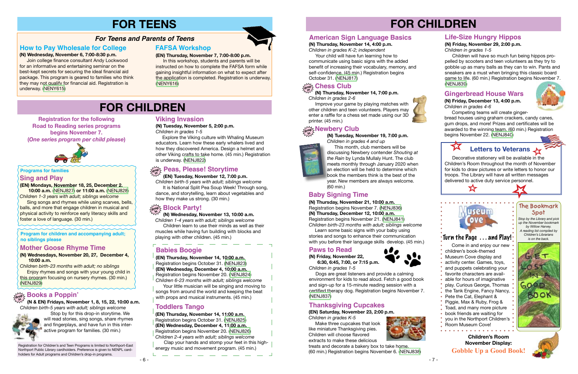#### **Sing and Play**

**(EN) Mondays, November 18, 25, December 2, 10:00 a.m.** ([NENJ827](https://search.livebrary.com/record=g1094784~S43)) **or 11:00 a.m.** [\(NENJ828](https://search.livebrary.com/record=g1094785~S43)) *Children 1-3 years with adult; siblings welcome*

 Sing songs and rhymes while using scarves, bells, balls, and more that engage children in musical and physical activity to reinforce early literacy skills and foster a love of language. (30 min.)

#### **Programs for families**

# **FOR CHILDREN**

#### **Registration for the following Road to Reading series programs begins November 7.**

**(***One series program per child please***)** 



 **(N & EN) Fridays, November 1, 8, 15, 22, 10:00 a.m.** *Children birth-5 years with adult; siblings welcome*



 Stop by for this drop-in storytime. We will read stories, sing songs, share rhymes and fingerplays, and have fun in this interactive program for families. (30 min.)

## **drop in Books a Poppin'**

# **FOR CHILDREN**

#### **(EN) Tuesday, November 12, 7:00 p.m. in**

*Children birth-5 years with adult; siblings welcome* It is National Split Pea Soup Week! Through song, dance, and storytelling, learn about vegetables and how they make us strong. (30 min.)

> *Stop by the Library and pick up the November bookmark by Willow Harvey. A reading list compiled by Children's Librarians is on the back.*



#### **The Bookmark Spot**

#### **Children's Room November Display: Gobble Up a Good Book!**



#### **Program for children and accompanying adult; no siblings please**

**(N) Wednesdays, November 20, 27, December 4, 10:00 a.m.**

*Children birth-23 months with adult; no siblings* **Enjoy rhymes and songs with your young child in** this program focusing on nursery rhymes. (30 min.) ([NENJ829](https://search.livebrary.com/record=g1094798~S43))

#### **Mother Goose Rhyme Time**

 **(N) Wednesday, November 13, 10:00 a.m.**

*Children 1-4 years with adult; siblings welcome* Children learn to use their minds as well as their muscles while having fun building with blocks and playing with other children. (45 min.)

## **drop in Block Party!**

 **(N) Thursday, November 14, 7:00 p.m.** *Children in grades 2-6*

**Explore the Viking culture with Whaling Museum** educators. Learn how these early whalers lived and how they discovered America. Design a helmet and other Viking crafts to take home. (45 min.) Registration is underway. ([NENJ822](https://search.livebrary.com/record=g1093965~S43))

### $\mathbb{Z}_{\mathrm{reg}}^{\infty}$  Peas, Please! Storytime

 Improve your game by playing matches with other children and teen volunteers. Players may enter a raffle for a chess set made using our 3D printer. (45 min.)

Your little musician will be singing and moving to songs from around the world and keeping the beat with props and musical instruments. (45 min.)

#### **Life-Size Hungry Hippos**

#### **(N) Friday, November 29, 2:00 p.m.** *Children in grades 1-5*

 Children will have so much fun being hippos propelled by scooters and teen volunteers as they try to gobble up as many balls as they can to win. Pants and sneakers are a must when bringing this classic board game to life. (60 min.) Registration begins November 7. ([NENJ839](https://search.livebrary.com/record=g1094909~S43))

 Come in and enjoy our new children's book-themed Museum Cove display and activity center. Games, toys, • and puppets celebrating your favorite characters are available for hours of imaginative • play. Curious George, Thomas the Tank Engine, Fancy Nancy, Pete the Cat, Elephant & • Piggie, Max & Ruby, Frog & Toad, and many more picture book friends are waiting for you in the Northport Children's Room Museum Cove!

# **FOR TEENS**

This month, club members will be discussing Newbery contender *Shouting at the Rain* by Lynda Mullaly Hunt. The club meets monthly through January 2020 when an election will be held to determine which book the members think is the best of the year. New members are always welcome.

#### **How to Pay Wholesale for College**

#### **(N) Wednesday, November 6, 7:00-8:30 p.m.**

Learn some basic signs with your baby using stories and songs to enhance their communication

 Join college finance consultant Andy Lockwood for an informative and entertaining seminar on the best-kept secrets for securing the ideal financial aid package. This program is geared to families who think they may not qualify for financial aid. Registration is underway. ([NENY615](https://search.livebrary.com/record=g1095150~S43))



**FAFSA Workshop**

**(EN) Thursday, November 7, 7:00-8:00 p.m.**

 In this workshop, students and parents will be instructed on how to complete the FAFSA form while gaining insightful information on what to expect after the application is completed. Registration is underway.

[\(NENY616](https://search.livebrary.com/record=g1095149~S43))

#### *For Teens and Parents of Teens*

#### **Viking Invasion**

#### **(N) Tuesday, November 5, 2:00 p.m.**

*Children in grades 1-5*

**(EN) Thursday, November 14, 10:00 a.m.** 

Registration begins October 31. [\(NENJ823\)](https://search.livebrary.com/record=g1094189~S43)

- **(EN) Wednesday, December 4, 10:00 a.m.**
- Registration begins November 20. [\(NENJ824\)](https://search.livebrary.com/record=g1094842~S43)

*Children 6-23 months with adult; siblings welcome*

## **Babies Boogie**

**(EN) Thursday, November 14, 11:00 a.m.** Registration begins October 31. ([NENJ825](https://search.livebrary.com/record=g1094194~S43)) **(EN) Wednesday, December 4, 11:00 a.m.**  Registration begins November 20. ([NENJ826](https://search.livebrary.com/record=g1094843~S43)) *Children 2-4 years with adult; siblings welcome*

Clap your hands and stomp your feet in this highenergy music and movement program. (45 min.)

### **Toddlers Tango**

 Decorative stationery will be available in the Children's Room throughout the month of November for kids to draw pictures or write letters to honor our troops. The Library will have all written messages delivered to active duty service personnel.



 $\mathbf{r}$ 

#### **American Sign Language Basics**

#### **(N) Thursday, November 14, 4:00 p.m.**

*Children in grades K-2; independent* Your child will have fun learning how to communicate using basic signs with the added

benefit of increasing their vocabulary, memory, and self-confidence. (45 min.) Registration begins October 31. ([NENJ817](https://search.livebrary.com/record=g1094369~S43))

## $\sum_{\alpha \in \mathbb{N}^2} \sum_{\alpha \in \mathbb{N}}$ Chess Club

#### **Paws to Read**

**(N) Friday, November 22, 6:30, 6:45, 7:00, or 7:15 p.m.**



*Children in grades 1-5*

 Dogs are great listeners and provide a calming environment for kids to read aloud. Fetch a good book

and sign-up for a 15-minute reading session with a certified therapy dog. Registration begins November 7. ([NENJ837](https://search.livebrary.com/record=g1094804~S43))

## **drop in Newbery Club**

**(N) Tuesday, November 19, 7:00 p.m.** *Children in grades 4 and up*



**(N) Thursday, November 21, 10:00 a.m.** Registration begins November 7. [\(NENJ836\)](https://search.livebrary.com/record=g1094800~S43)

**(N) Thursday, December 12, 10:00 a.m.** Registration begins November 21. ([NENJ841](https://search.livebrary.com/record=g1094802~S43))



*Children birth-23 months with adult; siblings welcome* 

with you before their language skills develop. (45 min.)

#### **Thanksgiving Cupcakes**

**(EN) Saturday, November 23, 2:00 p.m.**

*Children in grades K-5* Make three cupcakes that look like miniature Thanksgiving pies. Children will choose flavored extracts to make these delicious



treats and decorate a bakery box to take home. (60 min.) Registration begins November 6. ([NENJ838](https://search.livebrary.com/record=g1090064~S43))

#### **Gingerbread House Wars**

**(N) Friday, December 13, 4:00 p.m.** *Children in grades 4-6*



 Competing teams will create gingerbread houses using graham crackers, candy canes, gum drops, and more! Prizes and certificates will be awarded to the winning team. (60 min.) Registration begins November 22. ([NENJ840\)](https://search.livebrary.com/record=g1093303~S43)

# **Letters to Veterans**

### Turn the Page . . . and Play!

Registration for Children's and Teen Programs is limited to Northport-East Northport Public Library cardholders. Preference is given to NENPL cardholders for Adult programs and Children's drop-in programs.